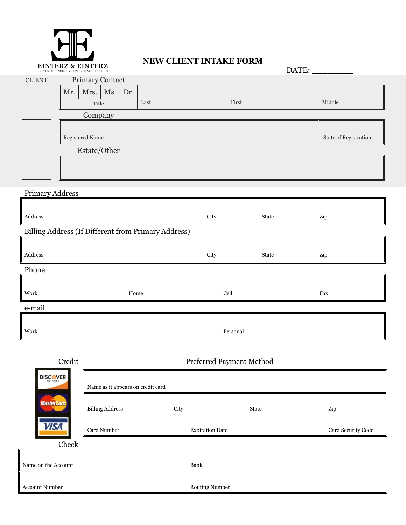

## **NEW CLIENT INTAKE FORM**

| EINTERZ & EINTERZ<br>PREVENTING PROBLEMS   PROVIDING SOLUTIONS |      |      |          | DATE:                 |  |
|----------------------------------------------------------------|------|------|----------|-----------------------|--|
| Primary Contact<br><b>CLIENT</b>                               |      |      |          |                       |  |
| Mrs. Ms.<br>Mr.                                                | Dr.  |      |          |                       |  |
| Title                                                          | Last |      | First    | Middle                |  |
| Company                                                        |      |      |          |                       |  |
| Registered Name                                                |      |      |          | State of Registration |  |
|                                                                |      |      |          |                       |  |
| Estate/Other                                                   |      |      |          |                       |  |
|                                                                |      |      |          |                       |  |
|                                                                |      |      |          |                       |  |
| <b>Primary Address</b>                                         |      |      |          |                       |  |
|                                                                |      |      |          |                       |  |
| $\operatorname{\bf Address}$                                   |      | City | State    | Zip                   |  |
| Billing Address (If Different from Primary Address)            |      |      |          |                       |  |
|                                                                |      |      |          |                       |  |
| $\operatorname{\bf Address}$                                   |      | City | State    | Zip                   |  |
| Phone                                                          |      |      |          |                       |  |
|                                                                |      |      |          |                       |  |
| Work                                                           | Home |      | Cell     | Fax                   |  |
| e-mail                                                         |      |      |          |                       |  |
|                                                                |      |      |          |                       |  |
| Work                                                           |      |      | Personal |                       |  |

| Credit              | Preferred Payment Method          |                        |       |                    |  |
|---------------------|-----------------------------------|------------------------|-------|--------------------|--|
| <b>DISCOVER</b>     | Name as it appears on credit card |                        |       |                    |  |
| <b>MasterCard</b>   | <b>Billing Address</b>            | City                   | State | Zip                |  |
| <b>VISA</b>         | Card Number                       | <b>Expiration Date</b> |       | Card Security Code |  |
| Check               |                                   |                        |       |                    |  |
|                     |                                   |                        |       |                    |  |
| Name on the Account |                                   | Bank                   |       |                    |  |
|                     |                                   |                        |       |                    |  |